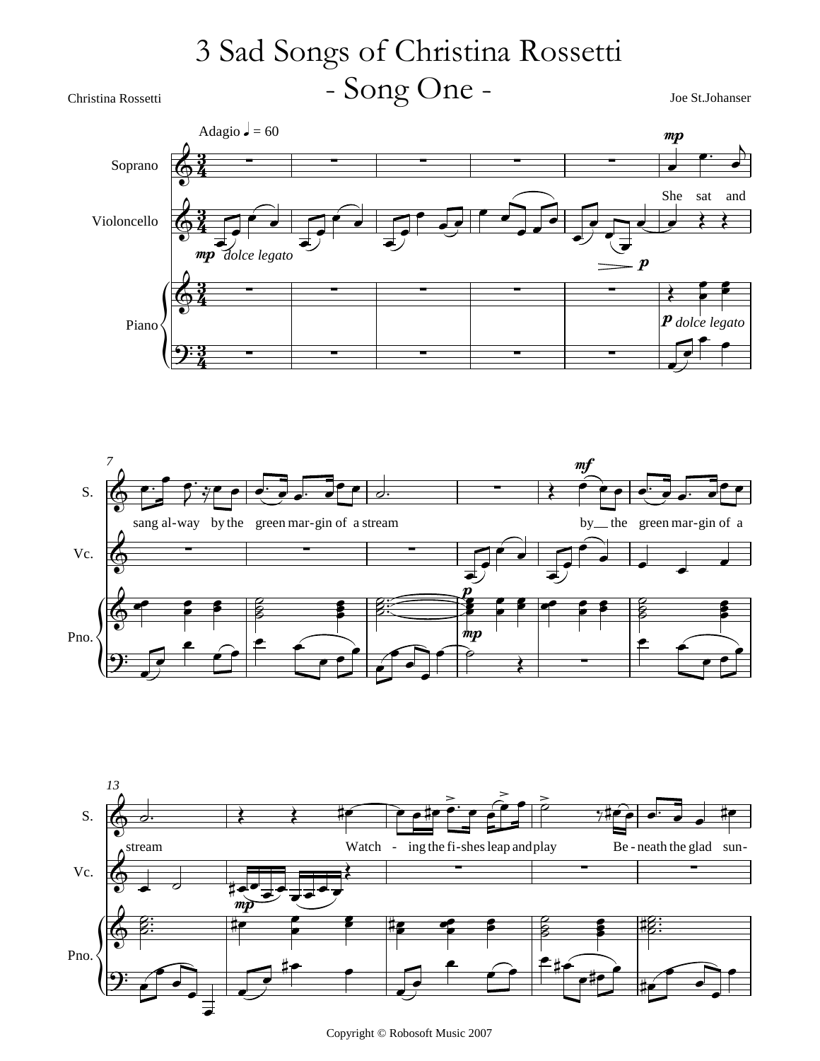## Christina Rossetti Joe St.Johanser - Song One - 3 Sad Songs of Christina Rossetti







Copyright © Robosoft Music 2007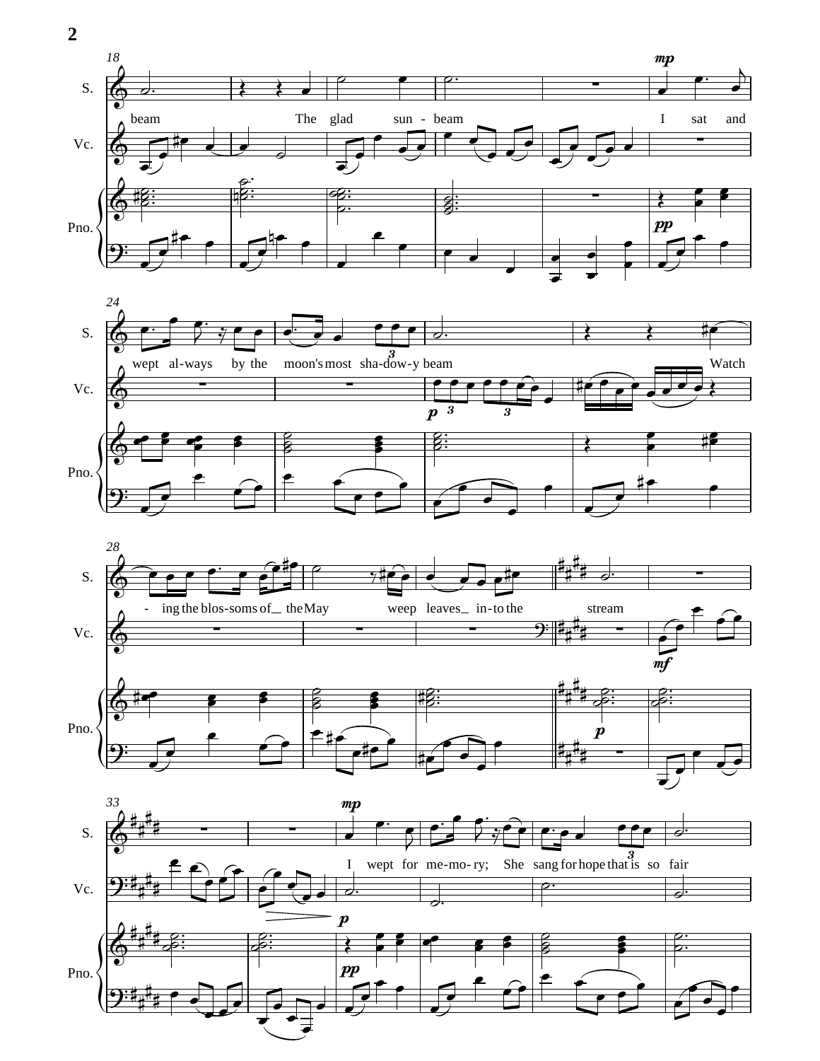

 $\overline{\phantom{a}}$ 

₹

 $\overline{\phantom{a}}$  $\overline{\bullet}$ 

**2**